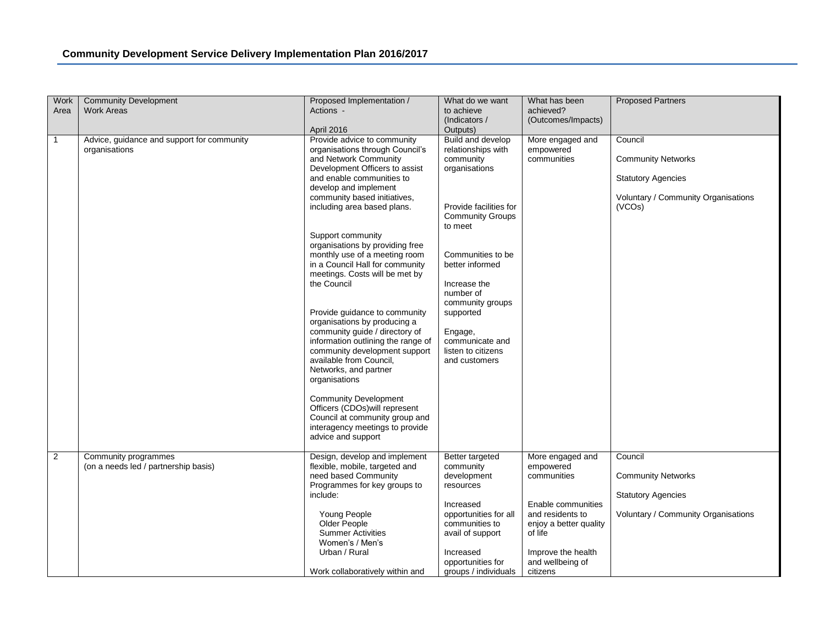| Work           | <b>Community Development</b>                                 | Proposed Implementation /                                                                                                                                                                                                                                                                                                                                                                                                                                                                                                                                                                                                                                                                                                                                                                                                                             | What do we want                                                                                                                                                                                                                                                                                                              | What has been                                | <b>Proposed Partners</b>                                                                                           |
|----------------|--------------------------------------------------------------|-------------------------------------------------------------------------------------------------------------------------------------------------------------------------------------------------------------------------------------------------------------------------------------------------------------------------------------------------------------------------------------------------------------------------------------------------------------------------------------------------------------------------------------------------------------------------------------------------------------------------------------------------------------------------------------------------------------------------------------------------------------------------------------------------------------------------------------------------------|------------------------------------------------------------------------------------------------------------------------------------------------------------------------------------------------------------------------------------------------------------------------------------------------------------------------------|----------------------------------------------|--------------------------------------------------------------------------------------------------------------------|
| Area           | <b>Work Areas</b>                                            | Actions -                                                                                                                                                                                                                                                                                                                                                                                                                                                                                                                                                                                                                                                                                                                                                                                                                                             | to achieve                                                                                                                                                                                                                                                                                                                   | achieved?                                    |                                                                                                                    |
|                |                                                              |                                                                                                                                                                                                                                                                                                                                                                                                                                                                                                                                                                                                                                                                                                                                                                                                                                                       | (Indicators /                                                                                                                                                                                                                                                                                                                | (Outcomes/Impacts)                           |                                                                                                                    |
| 1              | Advice, guidance and support for community<br>organisations  | April 2016<br>Provide advice to community<br>organisations through Council's<br>and Network Community<br>Development Officers to assist<br>and enable communities to<br>develop and implement<br>community based initiatives,<br>including area based plans.<br>Support community<br>organisations by providing free<br>monthly use of a meeting room<br>in a Council Hall for community<br>meetings. Costs will be met by<br>the Council<br>Provide guidance to community<br>organisations by producing a<br>community guide / directory of<br>information outlining the range of<br>community development support<br>available from Council,<br>Networks, and partner<br>organisations<br><b>Community Development</b><br>Officers (CDOs) will represent<br>Council at community group and<br>interagency meetings to provide<br>advice and support | Outputs)<br>Build and develop<br>relationships with<br>community<br>organisations<br>Provide facilities for<br><b>Community Groups</b><br>to meet<br>Communities to be<br>better informed<br>Increase the<br>number of<br>community groups<br>supported<br>Engage,<br>communicate and<br>listen to citizens<br>and customers | More engaged and<br>empowered<br>communities | Council<br><b>Community Networks</b><br><b>Statutory Agencies</b><br>Voluntary / Community Organisations<br>(VCOs) |
|                |                                                              |                                                                                                                                                                                                                                                                                                                                                                                                                                                                                                                                                                                                                                                                                                                                                                                                                                                       |                                                                                                                                                                                                                                                                                                                              |                                              |                                                                                                                    |
| $\overline{2}$ | Community programmes<br>(on a needs led / partnership basis) | Design, develop and implement<br>flexible, mobile, targeted and                                                                                                                                                                                                                                                                                                                                                                                                                                                                                                                                                                                                                                                                                                                                                                                       | Better targeted<br>community                                                                                                                                                                                                                                                                                                 | More engaged and<br>empowered                | Council                                                                                                            |
|                |                                                              | need based Community                                                                                                                                                                                                                                                                                                                                                                                                                                                                                                                                                                                                                                                                                                                                                                                                                                  | development                                                                                                                                                                                                                                                                                                                  | communities                                  | <b>Community Networks</b>                                                                                          |
|                |                                                              | Programmes for key groups to                                                                                                                                                                                                                                                                                                                                                                                                                                                                                                                                                                                                                                                                                                                                                                                                                          | resources                                                                                                                                                                                                                                                                                                                    |                                              |                                                                                                                    |
|                |                                                              | include:                                                                                                                                                                                                                                                                                                                                                                                                                                                                                                                                                                                                                                                                                                                                                                                                                                              | Increased                                                                                                                                                                                                                                                                                                                    | Enable communities                           | <b>Statutory Agencies</b>                                                                                          |
|                |                                                              | Young People                                                                                                                                                                                                                                                                                                                                                                                                                                                                                                                                                                                                                                                                                                                                                                                                                                          | opportunities for all                                                                                                                                                                                                                                                                                                        | and residents to                             | Voluntary / Community Organisations                                                                                |
|                |                                                              | Older People                                                                                                                                                                                                                                                                                                                                                                                                                                                                                                                                                                                                                                                                                                                                                                                                                                          | communities to                                                                                                                                                                                                                                                                                                               | enjoy a better quality                       |                                                                                                                    |
|                |                                                              | <b>Summer Activities</b><br>Women's / Men's                                                                                                                                                                                                                                                                                                                                                                                                                                                                                                                                                                                                                                                                                                                                                                                                           | avail of support                                                                                                                                                                                                                                                                                                             | of life                                      |                                                                                                                    |
|                |                                                              | Urban / Rural                                                                                                                                                                                                                                                                                                                                                                                                                                                                                                                                                                                                                                                                                                                                                                                                                                         | Increased                                                                                                                                                                                                                                                                                                                    | Improve the health                           |                                                                                                                    |
|                |                                                              |                                                                                                                                                                                                                                                                                                                                                                                                                                                                                                                                                                                                                                                                                                                                                                                                                                                       | opportunities for                                                                                                                                                                                                                                                                                                            | and wellbeing of                             |                                                                                                                    |
|                |                                                              | Work collaboratively within and                                                                                                                                                                                                                                                                                                                                                                                                                                                                                                                                                                                                                                                                                                                                                                                                                       | groups / individuals                                                                                                                                                                                                                                                                                                         | citizens                                     |                                                                                                                    |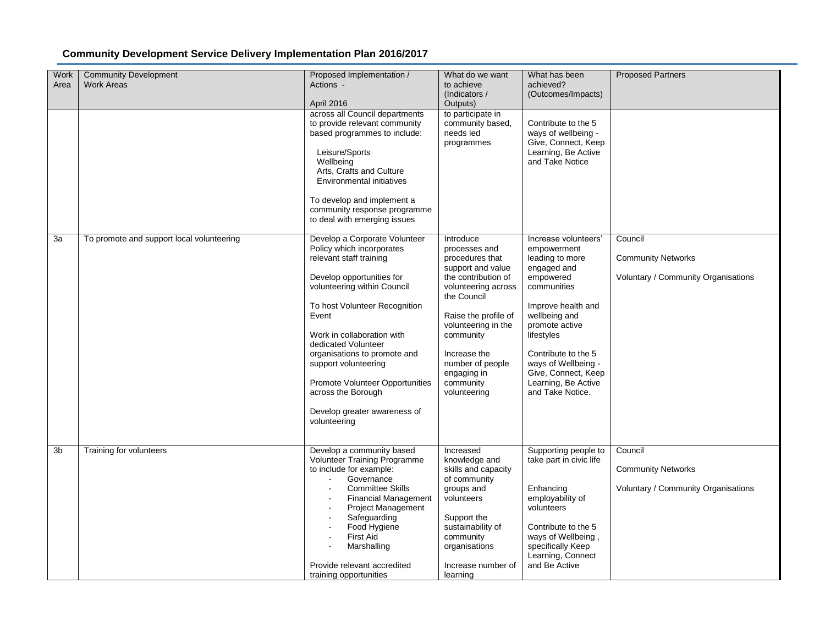| Work<br>Area | <b>Community Development</b><br><b>Work Areas</b> | Proposed Implementation /<br>Actions -<br>April 2016                                                                                                                                                                                                                                                                                                                                                                     | What do we want<br>to achieve<br>(Indicators /<br>Outputs)                                                                                                                                                                                                                  | What has been<br>achieved?<br>(Outcomes/Impacts)                                                                                                                                                                                                                                         | <b>Proposed Partners</b>                                                    |
|--------------|---------------------------------------------------|--------------------------------------------------------------------------------------------------------------------------------------------------------------------------------------------------------------------------------------------------------------------------------------------------------------------------------------------------------------------------------------------------------------------------|-----------------------------------------------------------------------------------------------------------------------------------------------------------------------------------------------------------------------------------------------------------------------------|------------------------------------------------------------------------------------------------------------------------------------------------------------------------------------------------------------------------------------------------------------------------------------------|-----------------------------------------------------------------------------|
|              |                                                   | across all Council departments<br>to provide relevant community<br>based programmes to include:<br>Leisure/Sports<br>Wellbeing<br>Arts, Crafts and Culture<br>Environmental initiatives<br>To develop and implement a<br>community response programme<br>to deal with emerging issues                                                                                                                                    | to participate in<br>community based,<br>needs led<br>programmes                                                                                                                                                                                                            | Contribute to the 5<br>ways of wellbeing -<br>Give, Connect, Keep<br>Learning, Be Active<br>and Take Notice                                                                                                                                                                              |                                                                             |
| 3a           | To promote and support local volunteering         | Develop a Corporate Volunteer<br>Policy which incorporates<br>relevant staff training<br>Develop opportunities for<br>volunteering within Council<br>To host Volunteer Recognition<br>Event<br>Work in collaboration with<br>dedicated Volunteer<br>organisations to promote and<br>support volunteering<br><b>Promote Volunteer Opportunities</b><br>across the Borough<br>Develop greater awareness of<br>volunteering | Introduce<br>processes and<br>procedures that<br>support and value<br>the contribution of<br>volunteering across<br>the Council<br>Raise the profile of<br>volunteering in the<br>community<br>Increase the<br>number of people<br>engaging in<br>community<br>volunteering | Increase volunteers'<br>empowerment<br>leading to more<br>engaged and<br>empowered<br>communities<br>Improve health and<br>wellbeing and<br>promote active<br>lifestyles<br>Contribute to the 5<br>ways of Wellbeing -<br>Give, Connect, Keep<br>Learning, Be Active<br>and Take Notice. | Council<br><b>Community Networks</b><br>Voluntary / Community Organisations |
| 3b           | Training for volunteers                           | Develop a community based<br>Volunteer Training Programme<br>to include for example:<br>Governance<br><b>Committee Skills</b><br><b>Financial Management</b><br><b>Project Management</b><br>Safeguarding<br>Food Hygiene<br><b>First Aid</b><br>Marshalling<br>Provide relevant accredited<br>training opportunities                                                                                                    | Increased<br>knowledge and<br>skills and capacity<br>of community<br>groups and<br>volunteers<br>Support the<br>sustainability of<br>community<br>organisations<br>Increase number of<br>learning                                                                           | Supporting people to<br>take part in civic life<br>Enhancing<br>employability of<br>volunteers<br>Contribute to the 5<br>ways of Wellbeing,<br>specifically Keep<br>Learning, Connect<br>and Be Active                                                                                   | Council<br><b>Community Networks</b><br>Voluntary / Community Organisations |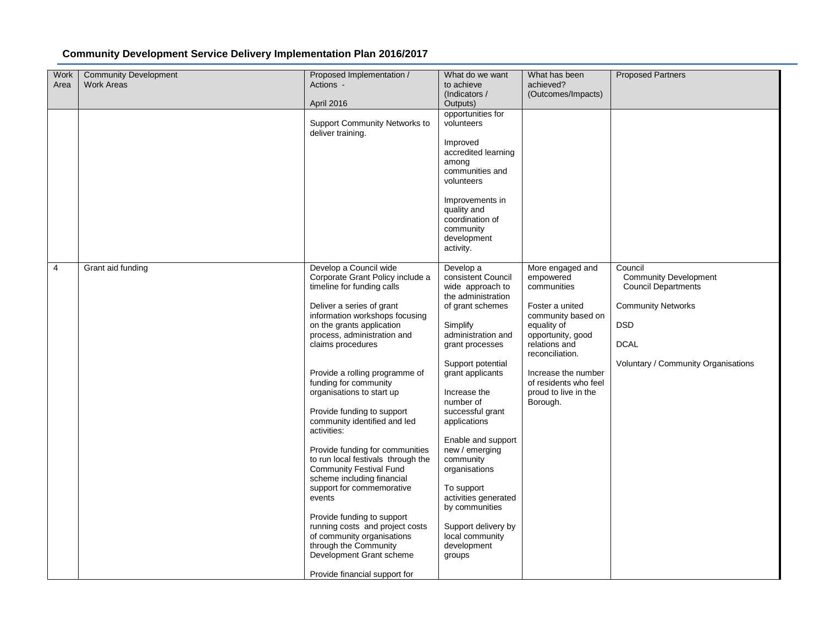| Work<br>Area | <b>Community Development</b><br><b>Work Areas</b> | Proposed Implementation /<br>Actions -<br>April 2016                                                                                                                                                                                                                                                                                                                                                                                                                                                                                                                                                                                                                                                                                                                               | What do we want<br>to achieve<br>(Indicators /<br>Outputs)                                                                                                                                                                                                                                                                                                                                                                                                    | What has been<br>achieved?<br>(Outcomes/Impacts)                                                                                                                                                                                                  | <b>Proposed Partners</b>                                                                                                                                               |
|--------------|---------------------------------------------------|------------------------------------------------------------------------------------------------------------------------------------------------------------------------------------------------------------------------------------------------------------------------------------------------------------------------------------------------------------------------------------------------------------------------------------------------------------------------------------------------------------------------------------------------------------------------------------------------------------------------------------------------------------------------------------------------------------------------------------------------------------------------------------|---------------------------------------------------------------------------------------------------------------------------------------------------------------------------------------------------------------------------------------------------------------------------------------------------------------------------------------------------------------------------------------------------------------------------------------------------------------|---------------------------------------------------------------------------------------------------------------------------------------------------------------------------------------------------------------------------------------------------|------------------------------------------------------------------------------------------------------------------------------------------------------------------------|
|              |                                                   | Support Community Networks to<br>deliver training.                                                                                                                                                                                                                                                                                                                                                                                                                                                                                                                                                                                                                                                                                                                                 | opportunities for<br>volunteers<br>Improved<br>accredited learning<br>among<br>communities and<br>volunteers<br>Improvements in<br>quality and<br>coordination of<br>community<br>development<br>activity.                                                                                                                                                                                                                                                    |                                                                                                                                                                                                                                                   |                                                                                                                                                                        |
| 4            | Grant aid funding                                 | Develop a Council wide<br>Corporate Grant Policy include a<br>timeline for funding calls<br>Deliver a series of grant<br>information workshops focusing<br>on the grants application<br>process, administration and<br>claims procedures<br>Provide a rolling programme of<br>funding for community<br>organisations to start up<br>Provide funding to support<br>community identified and led<br>activities:<br>Provide funding for communities<br>to run local festivals through the<br><b>Community Festival Fund</b><br>scheme including financial<br>support for commemorative<br>events<br>Provide funding to support<br>running costs and project costs<br>of community organisations<br>through the Community<br>Development Grant scheme<br>Provide financial support for | Develop a<br>consistent Council<br>wide approach to<br>the administration<br>of grant schemes<br>Simplify<br>administration and<br>grant processes<br>Support potential<br>grant applicants<br>Increase the<br>number of<br>successful grant<br>applications<br>Enable and support<br>new / emerging<br>community<br>organisations<br>To support<br>activities generated<br>by communities<br>Support delivery by<br>local community<br>development<br>groups | More engaged and<br>empowered<br>communities<br>Foster a united<br>community based on<br>equality of<br>opportunity, good<br>relations and<br>reconciliation.<br>Increase the number<br>of residents who feel<br>proud to live in the<br>Borough. | Council<br><b>Community Development</b><br><b>Council Departments</b><br><b>Community Networks</b><br><b>DSD</b><br><b>DCAL</b><br>Voluntary / Community Organisations |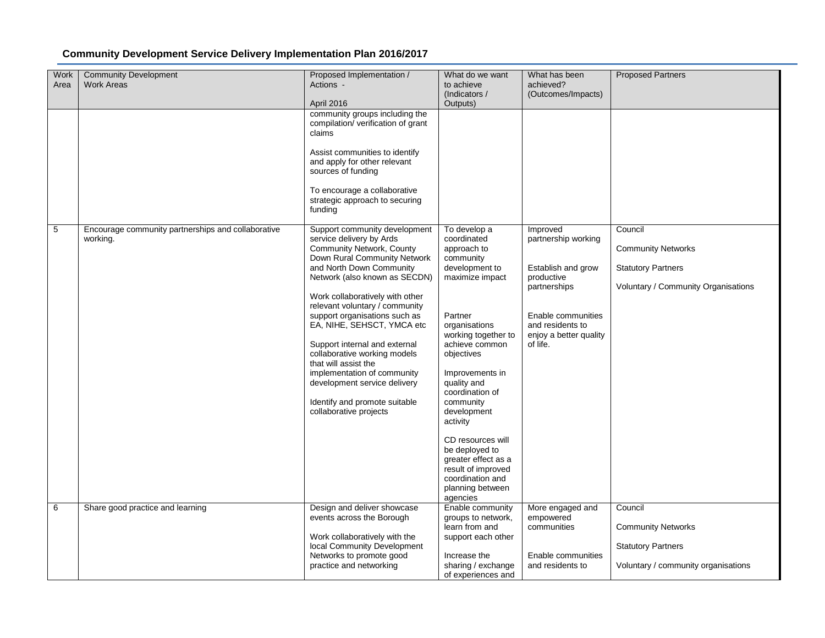| Work<br>Area | <b>Community Development</b><br><b>Work Areas</b>              | Proposed Implementation /<br>Actions -<br>April 2016                                                                                                                                                                                                                                                                                                                                                                                                                                                                                       | What do we want<br>to achieve<br>(Indicators /<br>Outputs)                                                                                                                                                                                                                                                                                                                                                           | What has been<br>achieved?<br>(Outcomes/Impacts)                                                                                                                    | <b>Proposed Partners</b>                                                                                 |
|--------------|----------------------------------------------------------------|--------------------------------------------------------------------------------------------------------------------------------------------------------------------------------------------------------------------------------------------------------------------------------------------------------------------------------------------------------------------------------------------------------------------------------------------------------------------------------------------------------------------------------------------|----------------------------------------------------------------------------------------------------------------------------------------------------------------------------------------------------------------------------------------------------------------------------------------------------------------------------------------------------------------------------------------------------------------------|---------------------------------------------------------------------------------------------------------------------------------------------------------------------|----------------------------------------------------------------------------------------------------------|
|              |                                                                | community groups including the<br>compilation/ verification of grant<br>claims<br>Assist communities to identify<br>and apply for other relevant<br>sources of funding<br>To encourage a collaborative<br>strategic approach to securing<br>funding                                                                                                                                                                                                                                                                                        |                                                                                                                                                                                                                                                                                                                                                                                                                      |                                                                                                                                                                     |                                                                                                          |
| 5            | Encourage community partnerships and collaborative<br>working. | Support community development<br>service delivery by Ards<br>Community Network, County<br>Down Rural Community Network<br>and North Down Community<br>Network (also known as SECDN)<br>Work collaboratively with other<br>relevant voluntary / community<br>support organisations such as<br>EA, NIHE, SEHSCT, YMCA etc<br>Support internal and external<br>collaborative working models<br>that will assist the<br>implementation of community<br>development service delivery<br>Identify and promote suitable<br>collaborative projects | To develop a<br>coordinated<br>approach to<br>community<br>development to<br>maximize impact<br>Partner<br>organisations<br>working together to<br>achieve common<br>objectives<br>Improvements in<br>quality and<br>coordination of<br>community<br>development<br>activity<br>CD resources will<br>be deployed to<br>greater effect as a<br>result of improved<br>coordination and<br>planning between<br>agencies | Improved<br>partnership working<br>Establish and grow<br>productive<br>partnerships<br>Enable communities<br>and residents to<br>enjoy a better quality<br>of life. | Council<br><b>Community Networks</b><br><b>Statutory Partners</b><br>Voluntary / Community Organisations |
| 6            | Share good practice and learning                               | Design and deliver showcase<br>events across the Borough<br>Work collaboratively with the<br>local Community Development<br>Networks to promote good<br>practice and networking                                                                                                                                                                                                                                                                                                                                                            | Enable community<br>groups to network,<br>learn from and<br>support each other<br>Increase the<br>sharing / exchange<br>of experiences and                                                                                                                                                                                                                                                                           | More engaged and<br>empowered<br>communities<br>Enable communities<br>and residents to                                                                              | Council<br><b>Community Networks</b><br><b>Statutory Partners</b><br>Voluntary / community organisations |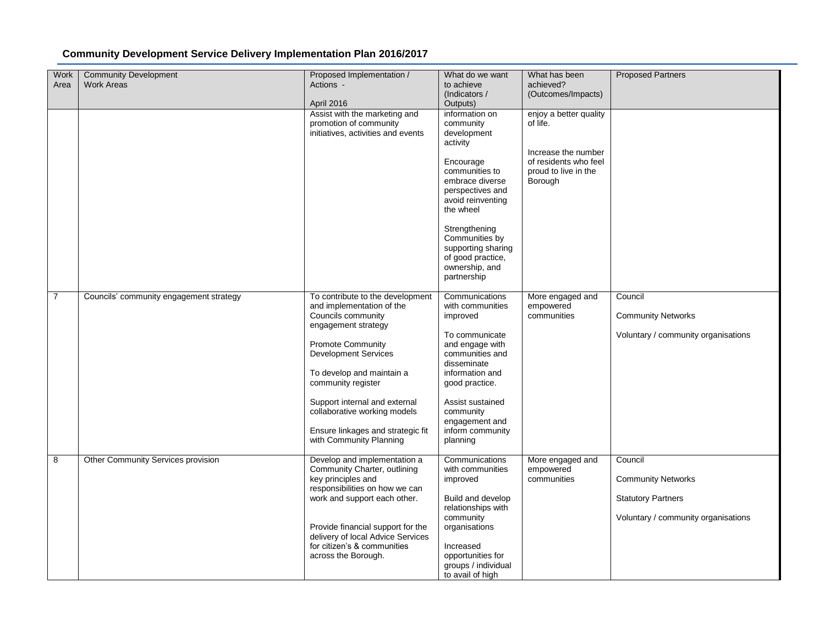| Work<br>Area   | <b>Community Development</b><br><b>Work Areas</b> | Proposed Implementation /<br>Actions -                                 | What do we want<br>to achieve      | What has been<br>achieved? | <b>Proposed Partners</b>            |
|----------------|---------------------------------------------------|------------------------------------------------------------------------|------------------------------------|----------------------------|-------------------------------------|
|                |                                                   |                                                                        | (Indicators /                      | (Outcomes/Impacts)         |                                     |
|                |                                                   | April 2016                                                             | Outputs)                           |                            |                                     |
|                |                                                   | Assist with the marketing and                                          | information on                     | enjoy a better quality     |                                     |
|                |                                                   | promotion of community                                                 | community                          | of life.                   |                                     |
|                |                                                   | initiatives, activities and events                                     | development                        |                            |                                     |
|                |                                                   |                                                                        | activity                           | Increase the number        |                                     |
|                |                                                   |                                                                        | Encourage                          | of residents who feel      |                                     |
|                |                                                   |                                                                        | communities to                     | proud to live in the       |                                     |
|                |                                                   |                                                                        | embrace diverse                    | Borough                    |                                     |
|                |                                                   |                                                                        | perspectives and                   |                            |                                     |
|                |                                                   |                                                                        | avoid reinventing                  |                            |                                     |
|                |                                                   |                                                                        | the wheel                          |                            |                                     |
|                |                                                   |                                                                        | Strengthening                      |                            |                                     |
|                |                                                   |                                                                        | Communities by                     |                            |                                     |
|                |                                                   |                                                                        | supporting sharing                 |                            |                                     |
|                |                                                   |                                                                        | of good practice,                  |                            |                                     |
|                |                                                   |                                                                        | ownership, and<br>partnership      |                            |                                     |
|                |                                                   |                                                                        |                                    |                            |                                     |
| $\overline{7}$ | Councils' community engagement strategy           | To contribute to the development                                       | Communications                     | More engaged and           | Council                             |
|                |                                                   | and implementation of the                                              | with communities                   | empowered                  |                                     |
|                |                                                   | Councils community<br>engagement strategy                              | improved                           | communities                | <b>Community Networks</b>           |
|                |                                                   |                                                                        | To communicate                     |                            | Voluntary / community organisations |
|                |                                                   | <b>Promote Community</b>                                               | and engage with                    |                            |                                     |
|                |                                                   | <b>Development Services</b>                                            | communities and                    |                            |                                     |
|                |                                                   |                                                                        | disseminate                        |                            |                                     |
|                |                                                   | To develop and maintain a<br>community register                        | information and<br>good practice.  |                            |                                     |
|                |                                                   |                                                                        |                                    |                            |                                     |
|                |                                                   | Support internal and external                                          | Assist sustained                   |                            |                                     |
|                |                                                   | collaborative working models                                           | community                          |                            |                                     |
|                |                                                   | Ensure linkages and strategic fit                                      | engagement and<br>inform community |                            |                                     |
|                |                                                   | with Community Planning                                                | planning                           |                            |                                     |
|                |                                                   |                                                                        |                                    |                            |                                     |
| 8              | Other Community Services provision                | Develop and implementation a                                           | Communications                     | More engaged and           | Council                             |
|                |                                                   | Community Charter, outlining<br>key principles and                     | with communities<br>improved       | empowered<br>communities   | <b>Community Networks</b>           |
|                |                                                   | responsibilities on how we can                                         |                                    |                            |                                     |
|                |                                                   | work and support each other.                                           | Build and develop                  |                            | <b>Statutory Partners</b>           |
|                |                                                   |                                                                        | relationships with                 |                            |                                     |
|                |                                                   |                                                                        | community                          |                            | Voluntary / community organisations |
|                |                                                   | Provide financial support for the<br>delivery of local Advice Services | organisations                      |                            |                                     |
|                |                                                   | for citizen's & communities                                            | Increased                          |                            |                                     |
|                |                                                   | across the Borough.                                                    | opportunities for                  |                            |                                     |
|                |                                                   |                                                                        | groups / individual                |                            |                                     |
|                |                                                   |                                                                        | to avail of high                   |                            |                                     |